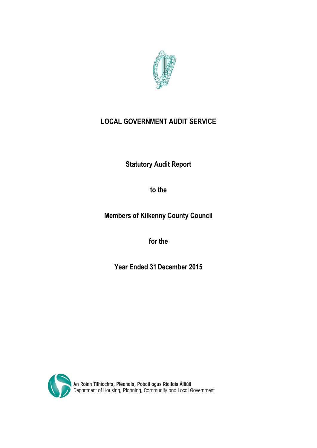

# **LOCAL GOVERNMENT AUDIT SERVICE**

**Statutory Audit Report**

**to the**

**Members of Kilkenny County Council**

**for the** 

**Year Ended 31December 2015**

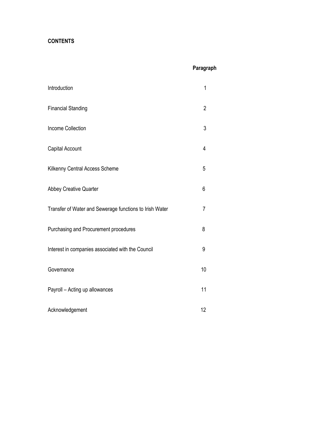# **CONTENTS**

# **Paragraph**

| Introduction                                            | 1              |
|---------------------------------------------------------|----------------|
| <b>Financial Standing</b>                               | $\overline{2}$ |
| <b>Income Collection</b>                                | 3              |
| Capital Account                                         | 4              |
| Kilkenny Central Access Scheme                          | 5              |
| Abbey Creative Quarter                                  | 6              |
| Transfer of Water and Sewerage functions to Irish Water | 7              |
| Purchasing and Procurement procedures                   | 8              |
| Interest in companies associated with the Council       | 9              |
| Governance                                              | 10             |
| Payroll - Acting up allowances                          | 11             |
| Acknowledgement                                         | 12             |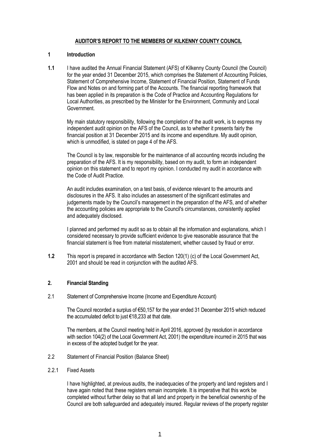# **AUDITOR'S REPORT TO THE MEMBERS OF KILKENNY COUNTY COUNCIL**

# **1 Introduction**

**1.1** I have audited the Annual Financial Statement (AFS) of Kilkenny County Council (the Council) for the year ended 31 December 2015, which comprises the Statement of Accounting Policies, Statement of Comprehensive Income, Statement of Financial Position, Statement of Funds Flow and Notes on and forming part of the Accounts. The financial reporting framework that has been applied in its preparation is the Code of Practice and Accounting Regulations for Local Authorities, as prescribed by the Minister for the Environment, Community and Local **Government** 

My main statutory responsibility, following the completion of the audit work, is to express my independent audit opinion on the AFS of the Council, as to whether it presents fairly the financial position at 31 December 2015 and its income and expenditure. My audit opinion, which is unmodified, is stated on page 4 of the AFS.

The Council is by law, responsible for the maintenance of all accounting records including the preparation of the AFS. It is my responsibility, based on my audit, to form an independent opinion on this statement and to report my opinion. I conducted my audit in accordance with the Code of Audit Practice.

An audit includes examination, on a test basis, of evidence relevant to the amounts and disclosures in the AFS. It also includes an assessment of the significant estimates and judgements made by the Council's management in the preparation of the AFS, and of whether the accounting policies are appropriate to the Council's circumstances, consistently applied and adequately disclosed.

I planned and performed my audit so as to obtain all the information and explanations, which I considered necessary to provide sufficient evidence to give reasonable assurance that the financial statement is free from material misstatement, whether caused by fraud or error.

**1.2** This report is prepared in accordance with Section 120(1) (c) of the Local Government Act, 2001 and should be read in conjunction with the audited AFS.

# **2. Financial Standing**

2.1 Statement of Comprehensive Income (Income and Expenditure Account)

The Council recorded a surplus of €50,157 for the year ended 31 December 2015 which reduced the accumulated deficit to just €18,233 at that date.

The members, at the Council meeting held in April 2016, approved (by resolution in accordance with section 104(2) of the Local Government Act, 2001) the expenditure incurred in 2015 that was in excess of the adopted budget for the year.

- 2.2 Statement of Financial Position (Balance Sheet)
- 2.2.1 Fixed Assets

I have highlighted, at previous audits, the inadequacies of the property and land registers and I have again noted that these registers remain incomplete. It is imperative that this work be completed without further delay so that all land and property in the beneficial ownership of the Council are both safeguarded and adequately insured. Regular reviews of the property register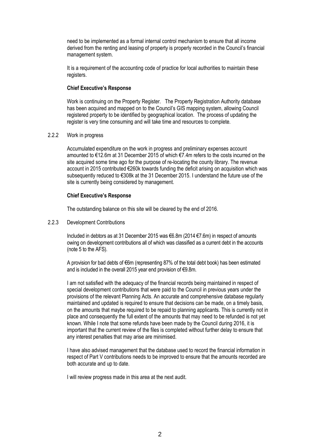need to be implemented as a formal internal control mechanism to ensure that all income derived from the renting and leasing of property is properly recorded in the Council's financial management system.

It is a requirement of the accounting code of practice for local authorities to maintain these registers.

# **Chief Executive's Response**

Work is continuing on the Property Register. The Property Registration Authority database has been acquired and mapped on to the Council's GIS mapping system, allowing Council registered property to be identified by geographical location. The process of updating the register is very time consuming and will take time and resources to complete.

# 2.2.2 Work in progress

Accumulated expenditure on the work in progress and preliminary expenses account amounted to €12.6m at 31 December 2015 of which €7.4m refers to the costs incurred on the site acquired some time ago for the purpose of re-locating the county library. The revenue account in 2015 contributed €260k towards funding the deficit arising on acquisition which was subsequently reduced to €308k at the 31 December 2015. I understand the future use of the site is currently being considered by management.

# **Chief Executive's Response**

The outstanding balance on this site will be cleared by the end of 2016.

# 2.2.3 Development Contributions

Included in debtors as at 31 December 2015 was €6.8m (2014 €7.6m) in respect of amounts owing on development contributions all of which was classified as a current debt in the accounts (note 5 to the AFS).

A provision for bad debts of €6m (representing 87% of the total debt book) has been estimated and is included in the overall 2015 year end provision of €9.8m.

I am not satisfied with the adequacy of the financial records being maintained in respect of special development contributions that were paid to the Council in previous years under the provisions of the relevant Planning Acts. An accurate and comprehensive database regularly maintained and updated is required to ensure that decisions can be made, on a timely basis, on the amounts that maybe required to be repaid to planning applicants. This is currently not in place and consequently the full extent of the amounts that may need to be refunded is not yet known. While I note that some refunds have been made by the Council during 2016, it is important that the current review of the files is completed without further delay to ensure that any interest penalties that may arise are minimised.

I have also advised management that the database used to record the financial information in respect of Part V contributions needs to be improved to ensure that the amounts recorded are both accurate and up to date.

I will review progress made in this area at the next audit.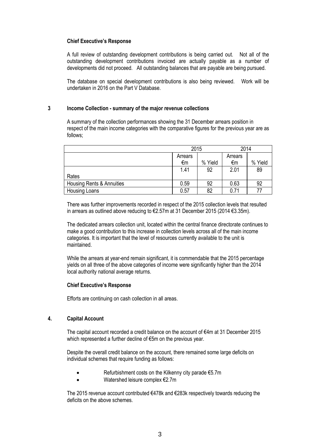# **Chief Executive's Response**

A full review of outstanding development contributions is being carried out. Not all of the outstanding development contributions invoiced are actually payable as a number of developments did not proceed. All outstanding balances that are payable are being pursued.

The database on special development contributions is also being reviewed. Work will be undertaken in 2016 on the Part V Database.

# **3 Income Collection - summary of the major revenue collections**

A summary of the collection performances showing the 31 December arrears position in respect of the main income categories with the comparative figures for the previous year are as follows;

|                           | 2015    |         | 2014    |         |
|---------------------------|---------|---------|---------|---------|
|                           | Arrears |         | Arrears |         |
|                           | €m      | % Yield | €m      | % Yield |
|                           | 1.41    | 92      | 2.01    | 89      |
| Rates                     |         |         |         |         |
| Housing Rents & Annuities | 0.59    | 92      | 0.63    | 92      |
| <b>Housing Loans</b>      | 0.57    | 82      | 0.71    | 77      |

There was further improvements recorded in respect of the 2015 collection levels that resulted in arrears as outlined above reducing to €2.57m at 31 December 2015 (2014 €3.35m).

The dedicated arrears collection unit, located within the central finance directorate continues to make a good contribution to this increase in collection levels across all of the main income categories. It is important that the level of resources currently available to the unit is maintained.

While the arrears at year-end remain significant, it is commendable that the 2015 percentage yields on all three of the above categories of income were significantly higher than the 2014 local authority national average returns.

# **Chief Executive's Response**

Efforts are continuing on cash collection in all areas.

# **4. Capital Account**

The capital account recorded a credit balance on the account of €4m at 31 December 2015 which represented a further decline of €5m on the previous year.

Despite the overall credit balance on the account, there remained some large deficits on individual schemes that require funding as follows:

- Refurbishment costs on the Kilkenny city parade €5.7m
- Watershed leisure complex €2.7m

The 2015 revenue account contributed €478k and €283k respectively towards reducing the deficits on the above schemes.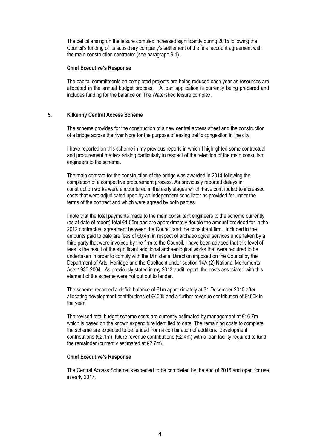The deficit arising on the leisure complex increased significantly during 2015 following the Council's funding of its subsidiary company's settlement of the final account agreement with the main construction contractor (see paragraph 9.1).

#### **Chief Executive's Response**

The capital commitments on completed projects are being reduced each year as resources are allocated in the annual budget process. A loan application is currently being prepared and includes funding for the balance on The Watershed leisure complex.

# **5. Kilkenny Central Access Scheme**

The scheme provides for the construction of a new central access street and the construction of a bridge across the river Nore for the purpose of easing traffic congestion in the city.

I have reported on this scheme in my previous reports in which I highlighted some contractual and procurement matters arising particularly in respect of the retention of the main consultant engineers to the scheme.

The main contract for the construction of the bridge was awarded in 2014 following the completion of a competitive procurement process. As previously reported delays in construction works were encountered in the early stages which have contributed to increased costs that were adjudicated upon by an independent conciliator as provided for under the terms of the contract and which were agreed by both parties.

I note that the total payments made to the main consultant engineers to the scheme currently (as at date of report) total  $\epsilon$ 1.05m and are approximately double the amount provided for in the 2012 contractual agreement between the Council and the consultant firm. Included in the amounts paid to date are fees of €0.4m in respect of archaeological services undertaken by a third party that were invoiced by the firm to the Council. I have been advised that this level of fees is the result of the significant additional archaeological works that were required to be undertaken in order to comply with the Ministerial Direction imposed on the Council by the Department of Arts, Heritage and the Gaeltacht under section 14A (2) National Monuments Acts 1930-2004. As previously stated in my 2013 audit report, the costs associated with this element of the scheme were not put out to tender.

The scheme recorded a deficit balance of €1m approximately at 31 December 2015 after allocating development contributions of €400k and a further revenue contribution of €400k in the year.

The revised total budget scheme costs are currently estimated by management at  $€16.7m$ which is based on the known expenditure identified to date. The remaining costs to complete the scheme are expected to be funded from a combination of additional development contributions (€2.1m), future revenue contributions (€2.4m) with a loan facility required to fund the remainder (currently estimated at  $E$ 2.7m).

# **Chief Executive's Response**

The Central Access Scheme is expected to be completed by the end of 2016 and open for use in early 2017.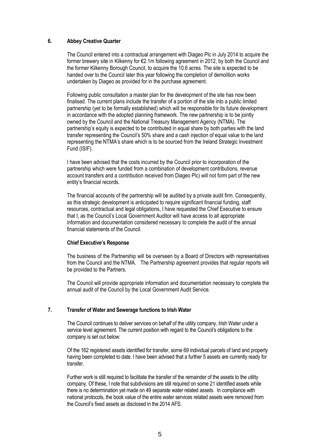# **6. Abbey Creative Quarter**

The Council entered into a contractual arrangement with Diageo Plc in July 2014 to acquire the former brewery site in Kilkenny for €2.1m following agreement in 2012, by both the Council and the former Kilkenny Borough Council, to acquire the 10.6 acres. The site is expected to be handed over to the Council later this year following the completion of demolition works undertaken by Diageo as provided for in the purchase agreement.

Following public consultation a master plan for the development of the site has now been finalised. The current plans include the transfer of a portion of the site into a public limited partnership (yet to be formally established) which will be responsible for its future development in accordance with the adopted planning framework. The new partnership is to be jointly owned by the Council and the National Treasury Management Agency (NTMA). The partnership's equity is expected to be contributed in equal share by both parties with the land transfer representing the Council's 50% share and a cash injection of equal value to the land representing the NTMA's share which is to be sourced from the Ireland Strategic Investment Fund (ISIF).

I have been advised that the costs incurred by the Council prior to incorporation of the partnership which were funded from a combination of development contributions, revenue account transfers and a contribution received from Diageo Plc) will not form part of the new entity's financial records.

The financial accounts of the partnership will be audited by a private audit firm. Consequently, as this strategic development is anticipated to require significant financial funding, staff resources, contractual and legal obligations, I have requested the Chief Executive to ensure that I, as the Council's Local Government Auditor will have access to all appropriate information and documentation considered necessary to complete the audit of the annual financial statements of the Council.

# **Chief Executive's Response**

The business of the Partnership will be overseen by a Board of Directors with representatives from the Council and the NTMA. The Partnership agreement provides that regular reports will be provided to the Partners.

The Council will provide appropriate information and documentation necessary to complete the annual audit of the Council by the Local Government Audit Service.

# **7. Transfer of Water and Sewerage functions to Irish Water**

The Council continues to deliver services on behalf of the utility company, Irish Water under a service level agreement. The current position with regard to the Council's obligations to the company is set out below:

Of the 162 registered assets identified for transfer, some 69 individual parcels of land and property having been completed to date. I have been advised that a further 5 assets are currently ready for transfer.

Further work is still required to facilitate the transfer of the remainder of the assets to the utility company. Of these, I note that subdivisions are still required on some 21 identified assets while there is no determination yet made on 49 separate water related assets. In compliance with national protocols, the book value of the entire water services related assets were removed from the Council's fixed assets as disclosed in the 2014 AFS.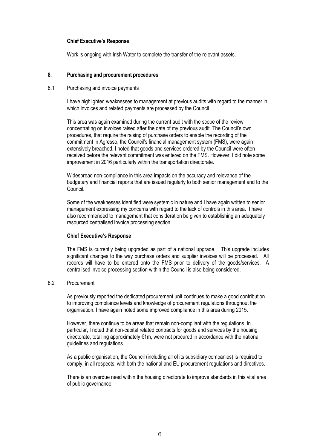# **Chief Executive's Response**

Work is ongoing with Irish Water to complete the transfer of the relevant assets.

# **8. Purchasing and procurement procedures**

# 8.1 Purchasing and invoice payments

I have highlighted weaknesses to management at previous audits with regard to the manner in which invoices and related payments are processed by the Council.

This area was again examined during the current audit with the scope of the review concentrating on invoices raised after the date of my previous audit. The Council's own procedures, that require the raising of purchase orders to enable the recording of the commitment in Agresso, the Council's financial management system (FMS), were again extensively breached. I noted that goods and services ordered by the Council were often received before the relevant commitment was entered on the FMS. However, I did note some improvement in 2016 particularly within the transportation directorate.

Widespread non-compliance in this area impacts on the accuracy and relevance of the budgetary and financial reports that are issued regularly to both senior management and to the Council.

Some of the weaknesses identified were systemic in nature and I have again written to senior management expressing my concerns with regard to the lack of controls in this area. I have also recommended to management that consideration be given to establishing an adequately resourced centralised invoice processing section.

# **Chief Executive's Response**

The FMS is currently being upgraded as part of a national upgrade. This upgrade includes significant changes to the way purchase orders and supplier invoices will be processed. All records will have to be entered onto the FMS prior to delivery of the goods/services. A centralised invoice processing section within the Council is also being considered.

# 8.2 Procurement

As previously reported the dedicated procurement unit continues to make a good contribution to improving compliance levels and knowledge of procurement regulations throughout the organisation. I have again noted some improved compliance in this area during 2015.

However, there continue to be areas that remain non-compliant with the regulations. In particular, I noted that non-capital related contracts for goods and services by the housing directorate, totalling approximately €1m, were not procured in accordance with the national guidelines and regulations.

As a public organisation, the Council (including all of its subsidiary companies) is required to comply, in all respects, with both the national and EU procurement regulations and directives.

There is an overdue need within the housing directorate to improve standards in this vital area of public governance.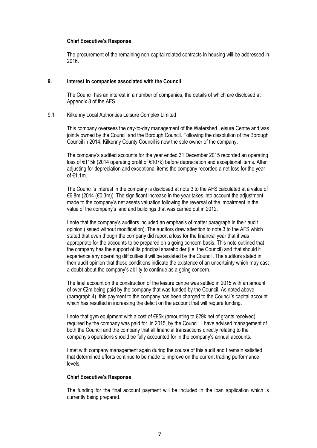#### **Chief Executive's Response**

The procurement of the remaining non-capital related contracts in housing will be addressed in 2016.

#### **9. Interest in companies associated with the Council**

The Council has an interest in a number of companies, the details of which are disclosed at Appendix 8 of the AFS.

# 9.1 Kilkenny Local Authorities Leisure Complex Limited

This company oversees the day-to-day management of the Watershed Leisure Centre and was jointly owned by the Council and the Borough Council. Following the dissolution of the Borough Council in 2014, Kilkenny County Council is now the sole owner of the company.

The company's audited accounts for the year ended 31 December 2015 recorded an operating loss of €115k (2014 operating profit of €107k) before depreciation and exceptional items. After adjusting for depreciation and exceptional items the company recorded a net loss for the year of €1.1m.

The Council's interest in the company is disclosed at note 3 to the AFS calculated at a value of €6.8m (2014 (€0.3m)). The significant increase in the year takes into account the adjustment made to the company's net assets valuation following the reversal of the impairment in the value of the company's land and buildings that was carried out in 2012.

I note that the company's auditors included an emphasis of matter paragraph in their audit opinion (issued without modification). The auditors drew attention to note 3 to the AFS which stated that even though the company did report a loss for the financial year that it was appropriate for the accounts to be prepared on a going concern basis. This note outlined that the company has the support of its principal shareholder (i.e. the Council) and that should it experience any operating difficulties it will be assisted by the Council. The auditors stated in their audit opinion that these conditions indicate the existence of an uncertainty which may cast a doubt about the company's ability to continue as a going concern.

The final account on the construction of the leisure centre was settled in 2015 with an amount of over €2m being paid by the company that was funded by the Council. As noted above (paragraph 4), this payment to the company has been charged to the Council's capital account which has resulted in increasing the deficit on the account that will require funding.

I note that gym equipment with a cost of €95k (amounting to €29k net of grants received) required by the company was paid for, in 2015, by the Council. I have advised management of both the Council and the company that all financial transactions directly relating to the company's operations should be fully accounted for in the company's annual accounts.

I met with company management again during the course of this audit and I remain satisfied that determined efforts continue to be made to improve on the current trading performance levels.

# **Chief Executive's Response**

The funding for the final account payment will be included in the loan application which is currently being prepared.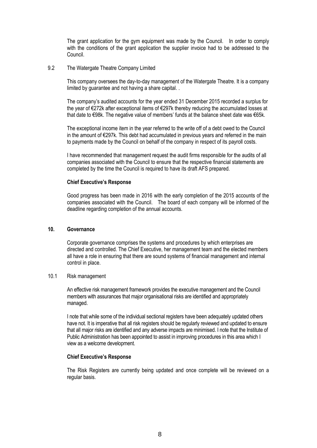The grant application for the gym equipment was made by the Council. In order to comply with the conditions of the grant application the supplier invoice had to be addressed to the Council.

# 9.2 The Watergate Theatre Company Limited

This company oversees the day-to-day management of the Watergate Theatre. It is a company limited by guarantee and not having a share capital. .

The company's audited accounts for the year ended 31 December 2015 recorded a surplus for the year of €272k after exceptional items of €297k thereby reducing the accumulated losses at that date to €98k. The negative value of members' funds at the balance sheet date was €65k.

The exceptional income item in the year referred to the write off of a debt owed to the Council in the amount of €297k. This debt had accumulated in previous years and referred in the main to payments made by the Council on behalf of the company in respect of its payroll costs.

I have recommended that management request the audit firms responsible for the audits of all companies associated with the Council to ensure that the respective financial statements are completed by the time the Council is required to have its draft AFS prepared.

#### **Chief Executive's Response**

Good progress has been made in 2016 with the early completion of the 2015 accounts of the companies associated with the Council. The board of each company will be informed of the deadline regarding completion of the annual accounts.

# **10. Governance**

Corporate governance comprises the systems and procedures by which enterprises are directed and controlled. The Chief Executive, her management team and the elected members all have a role in ensuring that there are sound systems of financial management and internal control in place.

#### 10.1 Risk management

An effective risk management framework provides the executive management and the Council members with assurances that major organisational risks are identified and appropriately managed.

I note that while some of the individual sectional registers have been adequately updated others have not. It is imperative that all risk registers should be regularly reviewed and updated to ensure that all major risks are identified and any adverse impacts are minimised. I note that the Institute of Public Administration has been appointed to assist in improving procedures in this area which I view as a welcome development.

#### **Chief Executive's Response**

The Risk Registers are currently being updated and once complete will be reviewed on a regular basis.